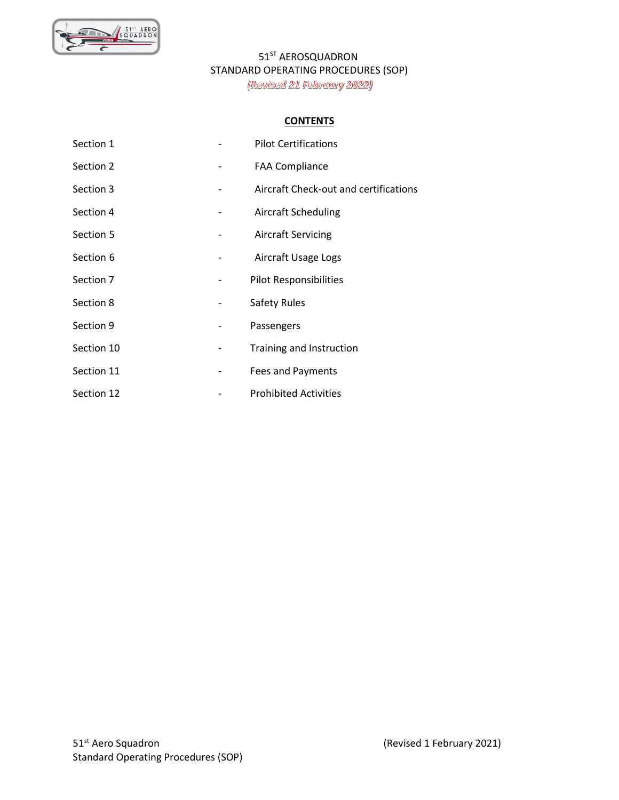

#### **CONTENTS**

| Section 1  |   | <b>Pilot Certifications</b>           |
|------------|---|---------------------------------------|
| Section 2  |   | <b>FAA Compliance</b>                 |
| Section 3  |   | Aircraft Check-out and certifications |
| Section 4  |   | <b>Aircraft Scheduling</b>            |
| Section 5  |   | <b>Aircraft Servicing</b>             |
| Section 6  |   | Aircraft Usage Logs                   |
| Section 7  |   | <b>Pilot Responsibilities</b>         |
| Section 8  | - | <b>Safety Rules</b>                   |
| Section 9  |   | Passengers                            |
| Section 10 | - | Training and Instruction              |
| Section 11 |   | Fees and Payments                     |
| Section 12 |   | <b>Prohibited Activities</b>          |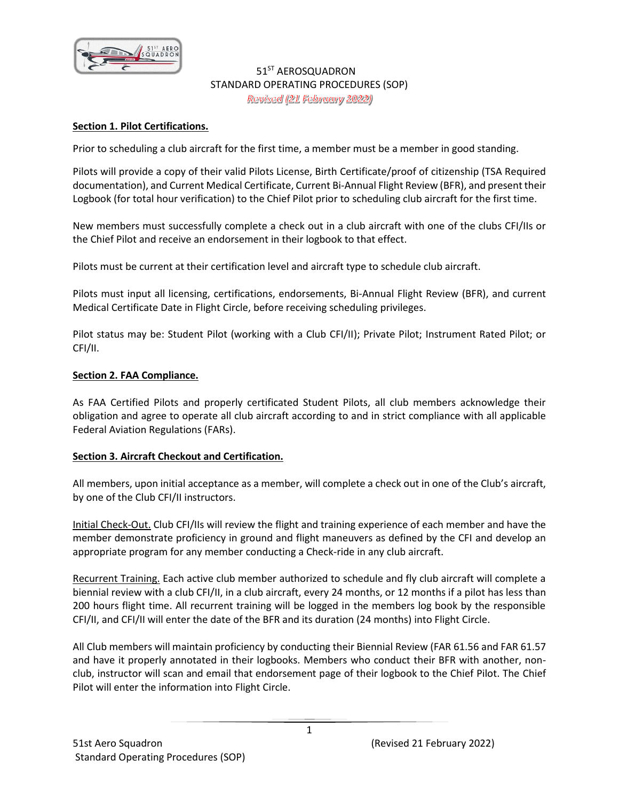

#### **Section 1. Pilot Certifications.**

Prior to scheduling a club aircraft for the first time, a member must be a member in good standing.

Pilots will provide a copy of their valid Pilots License, Birth Certificate/proof of citizenship (TSA Required documentation), and Current Medical Certificate, Current Bi-Annual Flight Review (BFR), and present their Logbook (for total hour verification) to the Chief Pilot prior to scheduling club aircraft for the first time.

New members must successfully complete a check out in a club aircraft with one of the clubs CFI/IIs or the Chief Pilot and receive an endorsement in their logbook to that effect.

Pilots must be current at their certification level and aircraft type to schedule club aircraft.

Pilots must input all licensing, certifications, endorsements, Bi-Annual Flight Review (BFR), and current Medical Certificate Date in Flight Circle, before receiving scheduling privileges.

Pilot status may be: Student Pilot (working with a Club CFI/II); Private Pilot; Instrument Rated Pilot; or CFI/II.

#### **Section 2. FAA Compliance.**

As FAA Certified Pilots and properly certificated Student Pilots, all club members acknowledge their obligation and agree to operate all club aircraft according to and in strict compliance with all applicable Federal Aviation Regulations (FARs).

#### **Section 3. Aircraft Checkout and Certification.**

All members, upon initial acceptance as a member, will complete a check out in one of the Club's aircraft, by one of the Club CFI/II instructors.

Initial Check-Out. Club CFI/IIs will review the flight and training experience of each member and have the member demonstrate proficiency in ground and flight maneuvers as defined by the CFI and develop an appropriate program for any member conducting a Check-ride in any club aircraft.

Recurrent Training. Each active club member authorized to schedule and fly club aircraft will complete a biennial review with a club CFI/II, in a club aircraft, every 24 months, or 12 months if a pilot has less than 200 hours flight time. All recurrent training will be logged in the members log book by the responsible CFI/II, and CFI/II will enter the date of the BFR and its duration (24 months) into Flight Circle.

All Club members will maintain proficiency by conducting their Biennial Review (FAR 61.56 and FAR 61.57 and have it properly annotated in their logbooks. Members who conduct their BFR with another, nonclub, instructor will scan and email that endorsement page of their logbook to the Chief Pilot. The Chief Pilot will enter the information into Flight Circle.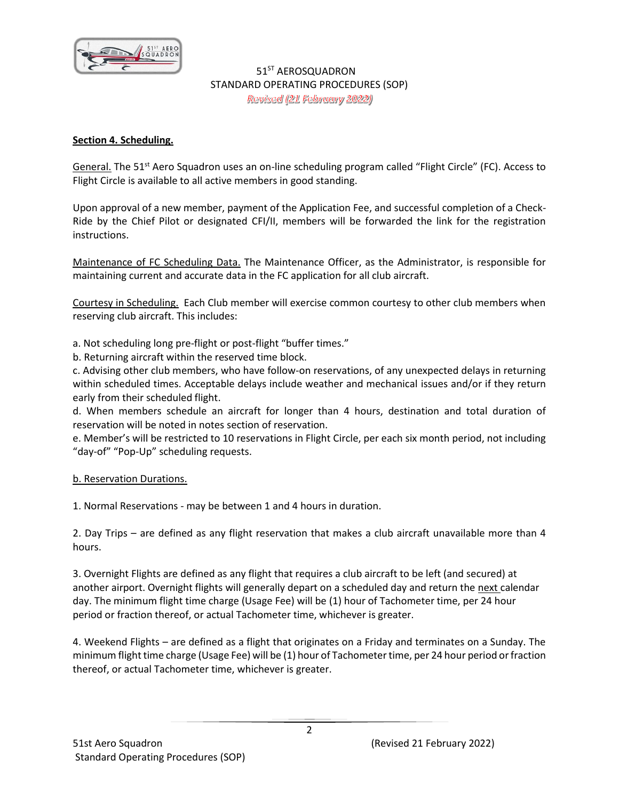

## **Section 4. Scheduling.**

General. The 51<sup>st</sup> Aero Squadron uses an on-line scheduling program called "Flight Circle" (FC). Access to Flight Circle is available to all active members in good standing.

Upon approval of a new member, payment of the Application Fee, and successful completion of a Check-Ride by the Chief Pilot or designated CFI/II, members will be forwarded the link for the registration instructions.

Maintenance of FC Scheduling Data. The Maintenance Officer, as the Administrator, is responsible for maintaining current and accurate data in the FC application for all club aircraft.

Courtesy in Scheduling. Each Club member will exercise common courtesy to other club members when reserving club aircraft. This includes:

a. Not scheduling long pre-flight or post-flight "buffer times."

b. Returning aircraft within the reserved time block.

c. Advising other club members, who have follow-on reservations, of any unexpected delays in returning within scheduled times. Acceptable delays include weather and mechanical issues and/or if they return early from their scheduled flight.

d. When members schedule an aircraft for longer than 4 hours, destination and total duration of reservation will be noted in notes section of reservation.

e. Member's will be restricted to 10 reservations in Flight Circle, per each six month period, not including "day-of" "Pop-Up" scheduling requests.

b. Reservation Durations.

1. Normal Reservations - may be between 1 and 4 hours in duration.

2. Day Trips – are defined as any flight reservation that makes a club aircraft unavailable more than 4 hours.

3. Overnight Flights are defined as any flight that requires a club aircraft to be left (and secured) at another airport. Overnight flights will generally depart on a scheduled day and return the next calendar day. The minimum flight time charge (Usage Fee) will be (1) hour of Tachometer time, per 24 hour period or fraction thereof, or actual Tachometer time, whichever is greater.

4. Weekend Flights – are defined as a flight that originates on a Friday and terminates on a Sunday. The minimum flight time charge (Usage Fee) will be (1) hour of Tachometer time, per 24 hour period or fraction thereof, or actual Tachometer time, whichever is greater.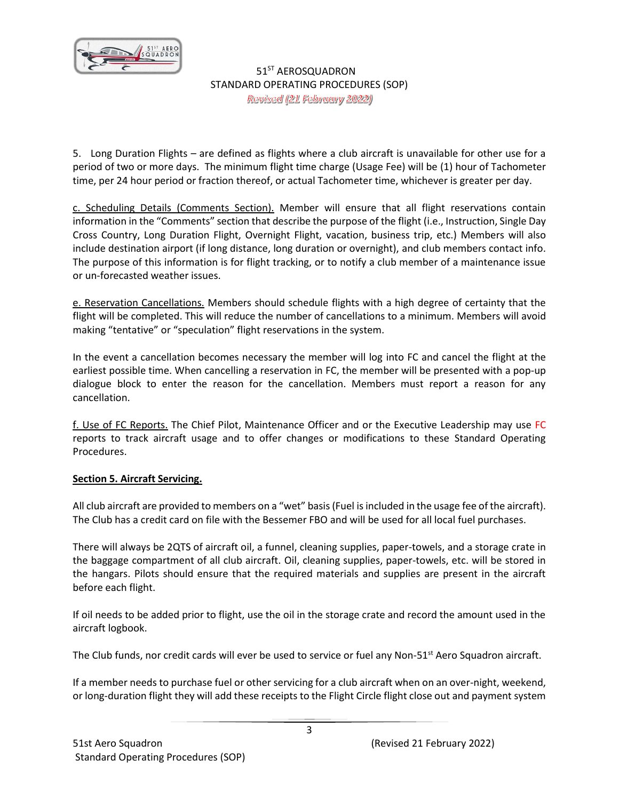

5. Long Duration Flights – are defined as flights where a club aircraft is unavailable for other use for a period of two or more days. The minimum flight time charge (Usage Fee) will be (1) hour of Tachometer time, per 24 hour period or fraction thereof, or actual Tachometer time, whichever is greater per day.

c. Scheduling Details (Comments Section). Member will ensure that all flight reservations contain information in the "Comments" section that describe the purpose of the flight (i.e., Instruction, Single Day Cross Country, Long Duration Flight, Overnight Flight, vacation, business trip, etc.) Members will also include destination airport (if long distance, long duration or overnight), and club members contact info. The purpose of this information is for flight tracking, or to notify a club member of a maintenance issue or un-forecasted weather issues.

e. Reservation Cancellations. Members should schedule flights with a high degree of certainty that the flight will be completed. This will reduce the number of cancellations to a minimum. Members will avoid making "tentative" or "speculation" flight reservations in the system.

In the event a cancellation becomes necessary the member will log into FC and cancel the flight at the earliest possible time. When cancelling a reservation in FC, the member will be presented with a pop-up dialogue block to enter the reason for the cancellation. Members must report a reason for any cancellation.

f. Use of FC Reports. The Chief Pilot, Maintenance Officer and or the Executive Leadership may use FC reports to track aircraft usage and to offer changes or modifications to these Standard Operating Procedures.

#### **Section 5. Aircraft Servicing.**

All club aircraft are provided to members on a "wet" basis (Fuel is included in the usage fee of the aircraft). The Club has a credit card on file with the Bessemer FBO and will be used for all local fuel purchases.

There will always be 2QTS of aircraft oil, a funnel, cleaning supplies, paper-towels, and a storage crate in the baggage compartment of all club aircraft. Oil, cleaning supplies, paper-towels, etc. will be stored in the hangars. Pilots should ensure that the required materials and supplies are present in the aircraft before each flight.

If oil needs to be added prior to flight, use the oil in the storage crate and record the amount used in the aircraft logbook.

The Club funds, nor credit cards will ever be used to service or fuel any Non-51<sup>st</sup> Aero Squadron aircraft.

If a member needs to purchase fuel or other servicing for a club aircraft when on an over-night, weekend, or long-duration flight they will add these receipts to the Flight Circle flight close out and payment system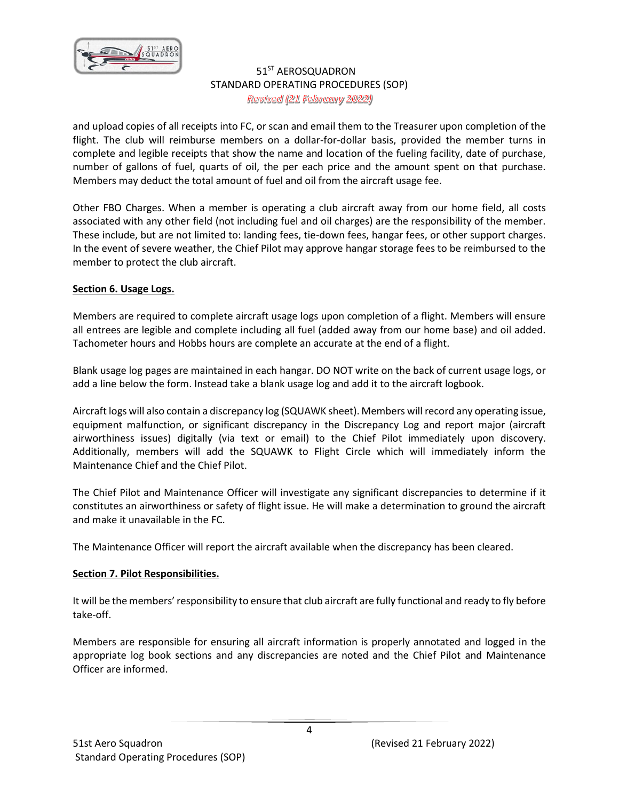

and upload copies of all receipts into FC, or scan and email them to the Treasurer upon completion of the flight. The club will reimburse members on a dollar-for-dollar basis, provided the member turns in complete and legible receipts that show the name and location of the fueling facility, date of purchase, number of gallons of fuel, quarts of oil, the per each price and the amount spent on that purchase. Members may deduct the total amount of fuel and oil from the aircraft usage fee.

Other FBO Charges. When a member is operating a club aircraft away from our home field, all costs associated with any other field (not including fuel and oil charges) are the responsibility of the member. These include, but are not limited to: landing fees, tie-down fees, hangar fees, or other support charges. In the event of severe weather, the Chief Pilot may approve hangar storage fees to be reimbursed to the member to protect the club aircraft.

## **Section 6. Usage Logs.**

Members are required to complete aircraft usage logs upon completion of a flight. Members will ensure all entrees are legible and complete including all fuel (added away from our home base) and oil added. Tachometer hours and Hobbs hours are complete an accurate at the end of a flight.

Blank usage log pages are maintained in each hangar. DO NOT write on the back of current usage logs, or add a line below the form. Instead take a blank usage log and add it to the aircraft logbook.

Aircraft logs will also contain a discrepancy log (SQUAWK sheet). Members will record any operating issue, equipment malfunction, or significant discrepancy in the Discrepancy Log and report major (aircraft airworthiness issues) digitally (via text or email) to the Chief Pilot immediately upon discovery. Additionally, members will add the SQUAWK to Flight Circle which will immediately inform the Maintenance Chief and the Chief Pilot.

The Chief Pilot and Maintenance Officer will investigate any significant discrepancies to determine if it constitutes an airworthiness or safety of flight issue. He will make a determination to ground the aircraft and make it unavailable in the FC.

The Maintenance Officer will report the aircraft available when the discrepancy has been cleared.

#### **Section 7. Pilot Responsibilities.**

It will be the members' responsibility to ensure that club aircraft are fully functional and ready to fly before take-off.

Members are responsible for ensuring all aircraft information is properly annotated and logged in the appropriate log book sections and any discrepancies are noted and the Chief Pilot and Maintenance Officer are informed.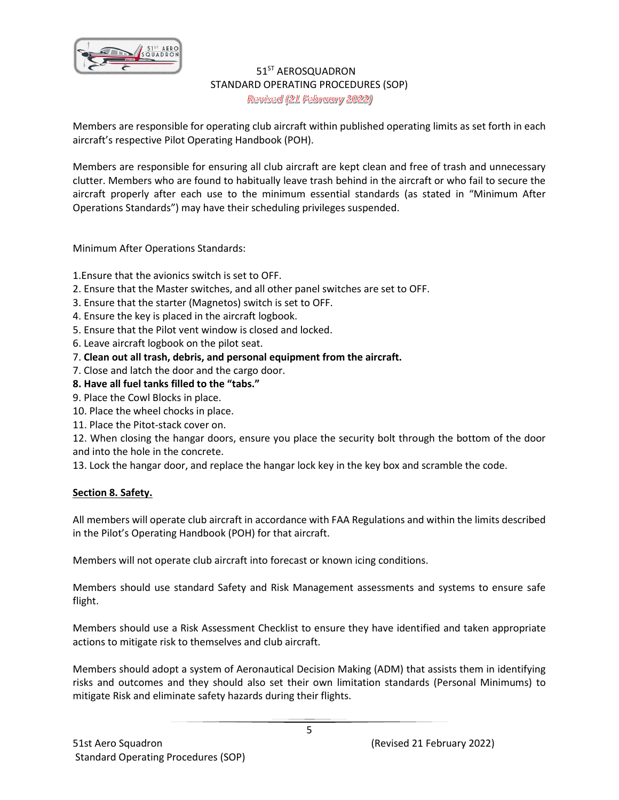

Members are responsible for operating club aircraft within published operating limits as set forth in each aircraft's respective Pilot Operating Handbook (POH).

Members are responsible for ensuring all club aircraft are kept clean and free of trash and unnecessary clutter. Members who are found to habitually leave trash behind in the aircraft or who fail to secure the aircraft properly after each use to the minimum essential standards (as stated in "Minimum After Operations Standards") may have their scheduling privileges suspended.

Minimum After Operations Standards:

1.Ensure that the avionics switch is set to OFF.

- 2. Ensure that the Master switches, and all other panel switches are set to OFF.
- 3. Ensure that the starter (Magnetos) switch is set to OFF.
- 4. Ensure the key is placed in the aircraft logbook.
- 5. Ensure that the Pilot vent window is closed and locked.
- 6. Leave aircraft logbook on the pilot seat.
- 7. **Clean out all trash, debris, and personal equipment from the aircraft.**
- 7. Close and latch the door and the cargo door.
- **8. Have all fuel tanks filled to the "tabs."**
- 9. Place the Cowl Blocks in place.
- 10. Place the wheel chocks in place.
- 11. Place the Pitot-stack cover on.

12. When closing the hangar doors, ensure you place the security bolt through the bottom of the door and into the hole in the concrete.

13. Lock the hangar door, and replace the hangar lock key in the key box and scramble the code.

#### **Section 8. Safety.**

All members will operate club aircraft in accordance with FAA Regulations and within the limits described in the Pilot's Operating Handbook (POH) for that aircraft.

Members will not operate club aircraft into forecast or known icing conditions.

Members should use standard Safety and Risk Management assessments and systems to ensure safe flight.

Members should use a Risk Assessment Checklist to ensure they have identified and taken appropriate actions to mitigate risk to themselves and club aircraft.

Members should adopt a system of Aeronautical Decision Making (ADM) that assists them in identifying risks and outcomes and they should also set their own limitation standards (Personal Minimums) to mitigate Risk and eliminate safety hazards during their flights.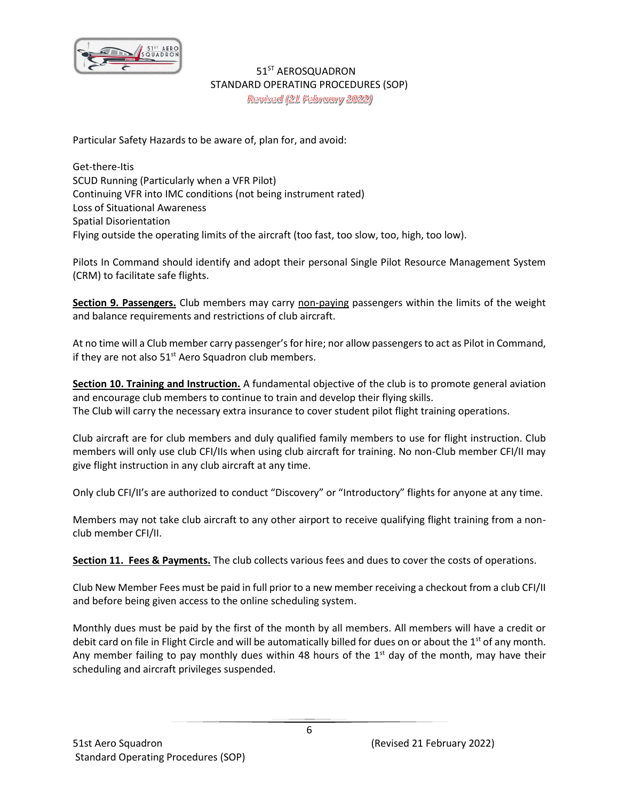

Particular Safety Hazards to be aware of, plan for, and avoid:

Get-there-Itis SCUD Running (Particularly when a VFR Pilot) Continuing VFR into IMC conditions (not being instrument rated) Loss of Situational Awareness Spatial Disorientation Flying outside the operating limits of the aircraft (too fast, too slow, too, high, too low).

Pilots In Command should identify and adopt their personal Single Pilot Resource Management System (CRM) to facilitate safe flights.

**Section 9. Passengers.** Club members may carry non-paying passengers within the limits of the weight and balance requirements and restrictions of club aircraft.

At no time will a Club member carry passenger's for hire; nor allow passengers to act as Pilot in Command, if they are not also  $51<sup>st</sup>$  Aero Squadron club members.

**Section 10. Training and Instruction.** A fundamental objective of the club is to promote general aviation and encourage club members to continue to train and develop their flying skills. The Club will carry the necessary extra insurance to cover student pilot flight training operations.

Club aircraft are for club members and duly qualified family members to use for flight instruction. Club members will only use club CFI/IIs when using club aircraft for training. No non-Club member CFI/II may give flight instruction in any club aircraft at any time.

Only club CFI/II's are authorized to conduct "Discovery" or "Introductory" flights for anyone at any time.

Members may not take club aircraft to any other airport to receive qualifying flight training from a nonclub member CFI/II.

**Section 11. Fees & Payments.** The club collects various fees and dues to cover the costs of operations.

Club New Member Fees must be paid in full prior to a new member receiving a checkout from a club CFI/II and before being given access to the online scheduling system.

Monthly dues must be paid by the first of the month by all members. All members will have a credit or debit card on file in Flight Circle and will be automatically billed for dues on or about the  $1<sup>st</sup>$  of any month. Any member failing to pay monthly dues within 48 hours of the  $1<sup>st</sup>$  day of the month, may have their scheduling and aircraft privileges suspended.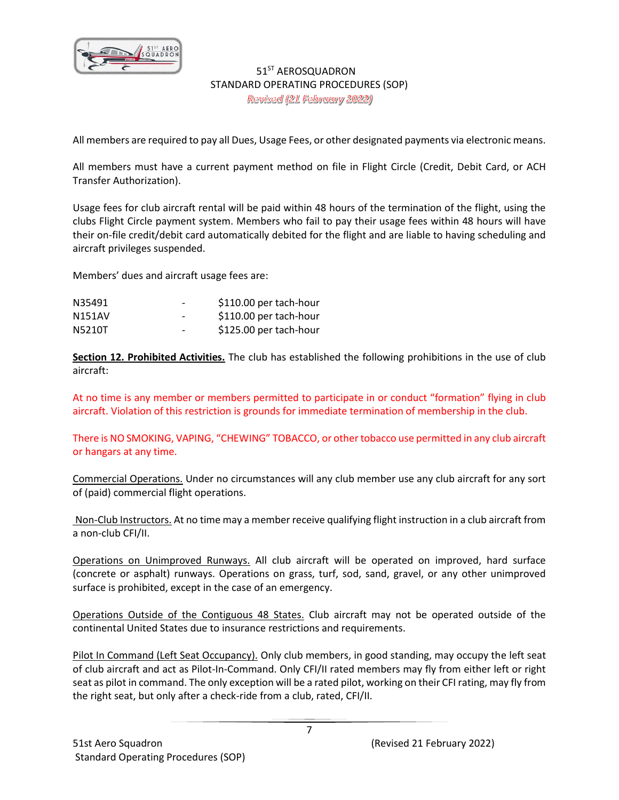

All members are required to pay all Dues, Usage Fees, or other designated payments via electronic means.

All members must have a current payment method on file in Flight Circle (Credit, Debit Card, or ACH Transfer Authorization).

Usage fees for club aircraft rental will be paid within 48 hours of the termination of the flight, using the clubs Flight Circle payment system. Members who fail to pay their usage fees within 48 hours will have their on-file credit/debit card automatically debited for the flight and are liable to having scheduling and aircraft privileges suspended.

Members' dues and aircraft usage fees are:

| N35491 | $\overline{\phantom{0}}$ | \$110.00 per tach-hour |
|--------|--------------------------|------------------------|
| N151AV | $\overline{\phantom{0}}$ | \$110.00 per tach-hour |
| N5210T | $\overline{\phantom{0}}$ | \$125.00 per tach-hour |

**Section 12. Prohibited Activities.** The club has established the following prohibitions in the use of club aircraft:

At no time is any member or members permitted to participate in or conduct "formation" flying in club aircraft. Violation of this restriction is grounds for immediate termination of membership in the club.

There is NO SMOKING, VAPING, "CHEWING" TOBACCO, or other tobacco use permitted in any club aircraft or hangars at any time.

Commercial Operations. Under no circumstances will any club member use any club aircraft for any sort of (paid) commercial flight operations.

Non-Club Instructors. At no time may a member receive qualifying flight instruction in a club aircraft from a non-club CFI/II.

Operations on Unimproved Runways. All club aircraft will be operated on improved, hard surface (concrete or asphalt) runways. Operations on grass, turf, sod, sand, gravel, or any other unimproved surface is prohibited, except in the case of an emergency.

Operations Outside of the Contiguous 48 States. Club aircraft may not be operated outside of the continental United States due to insurance restrictions and requirements.

Pilot In Command (Left Seat Occupancy). Only club members, in good standing, may occupy the left seat of club aircraft and act as Pilot-In-Command. Only CFI/II rated members may fly from either left or right seat as pilot in command. The only exception will be a rated pilot, working on their CFI rating, may fly from the right seat, but only after a check-ride from a club, rated, CFI/II.